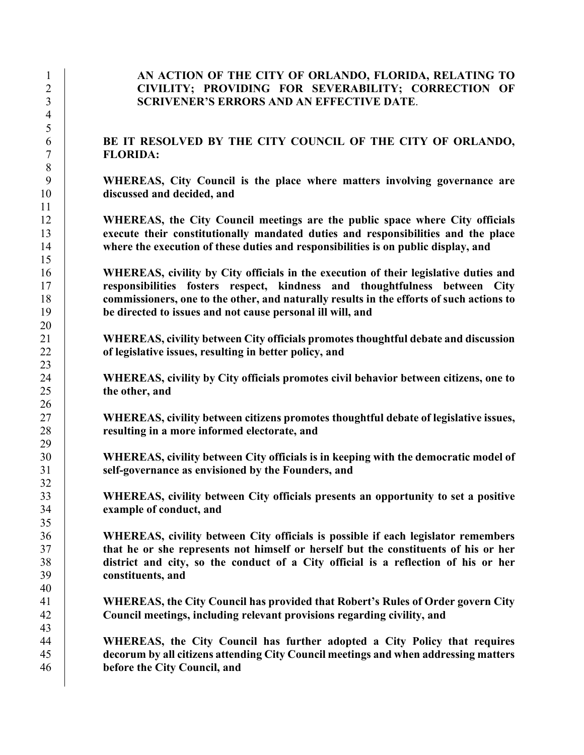#### **AN ACTION OF THE CITY OF ORLANDO, FLORIDA, RELATING TO CIVILITY; PROVIDING FOR SEVERABILITY; CORRECTION OF SCRIVENER'S ERRORS AND AN EFFECTIVE DATE**.

### **BE IT RESOLVED BY THE CITY COUNCIL OF THE CITY OF ORLANDO, FLORIDA:**

**WHEREAS, City Council is the place where matters involving governance are discussed and decided, and** 

**WHEREAS, the City Council meetings are the public space where City officials execute their constitutionally mandated duties and responsibilities and the place where the execution of these duties and responsibilities is on public display, and** 

**WHEREAS, civility by City officials in the execution of their legislative duties and responsibilities fosters respect, kindness and thoughtfulness between City commissioners, one to the other, and naturally results in the efforts of such actions to be directed to issues and not cause personal ill will, and** 

**WHEREAS, civility between City officials promotes thoughtful debate and discussion of legislative issues, resulting in better policy, and** 

**WHEREAS, civility by City officials promotes civil behavior between citizens, one to the other, and** 

**WHEREAS, civility between citizens promotes thoughtful debate of legislative issues, resulting in a more informed electorate, and** 

**WHEREAS, civility between City officials is in keeping with the democratic model of self-governance as envisioned by the Founders, and** 

**WHEREAS, civility between City officials presents an opportunity to set a positive example of conduct, and** 

**WHEREAS, civility between City officials is possible if each legislator remembers that he or she represents not himself or herself but the constituents of his or her district and city, so the conduct of a City official is a reflection of his or her constituents, and** 

**WHEREAS, the City Council has provided that Robert's Rules of Order govern City Council meetings, including relevant provisions regarding civility, and** 

**WHEREAS, the City Council has further adopted a City Policy that requires decorum by all citizens attending City Council meetings and when addressing matters before the City Council, and**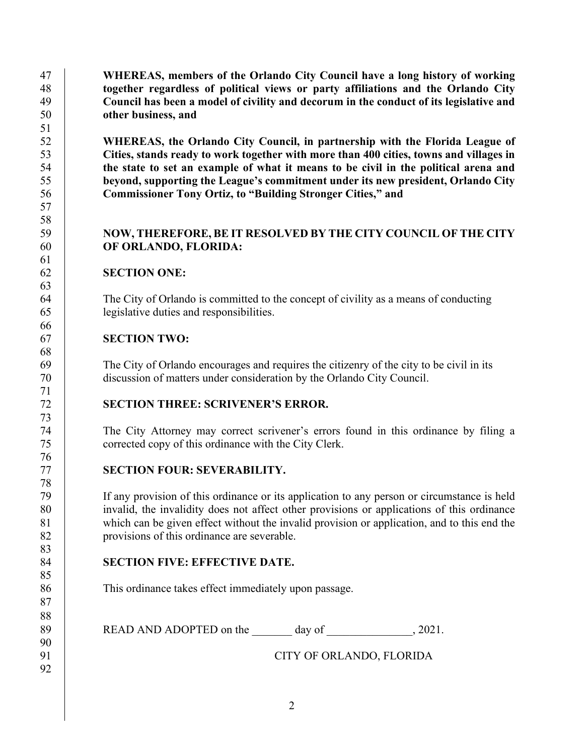**WHEREAS, members of the Orlando City Council have a long history of working together regardless of political views or party affiliations and the Orlando City Council has been a model of civility and decorum in the conduct of its legislative and other business, and** 

**WHEREAS, the Orlando City Council, in partnership with the Florida League of Cities, stands ready to work together with more than 400 cities, towns and villages in the state to set an example of what it means to be civil in the political arena and beyond, supporting the League's commitment under its new president, Orlando City Commissioner Tony Ortiz, to "Building Stronger Cities," and** 

### **NOW, THEREFORE, BE IT RESOLVED BY THE CITY COUNCIL OF THE CITY OF ORLANDO, FLORIDA:**

## **SECTION ONE:**

64 The City of Orlando is committed to the concept of civility as a means of conducting 65 legislative duties and responsibilities.

## **SECTION TWO:**

69 The City of Orlando encourages and requires the citizenry of the city to be civil in its 70 discussion of matters under consideration by the Orlando City Council.

# **SECTION THREE: SCRIVENER'S ERROR.**

74 The City Attorney may correct scrivener's errors found in this ordinance by filing a 75 corrected copy of this ordinance with the City Clerk.

# **SECTION FOUR: SEVERABILITY.**

79 If any provision of this ordinance or its application to any person or circumstance is held 80 invalid, the invalidity does not affect other provisions or applications of this ordinance 81 which can be given effect without the invalid provision or application, and to this end the **provisions of this ordinance are severable.** 

# **SECTION FIVE: EFFECTIVE DATE.**

86 This ordinance takes effect immediately upon passage.

89 READ AND ADOPTED on the day of  $\qquad \qquad$  2021.

91 | CITY OF ORLANDO, FLORIDA